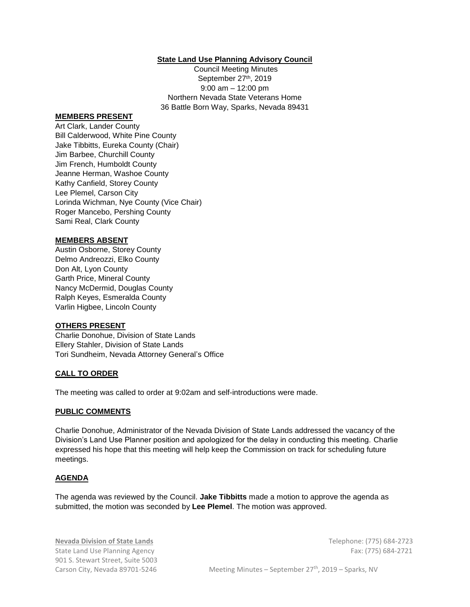## **State Land Use Planning Advisory Council**

Council Meeting Minutes September 27th, 2019 9:00 am – 12:00 pm Northern Nevada State Veterans Home 36 Battle Born Way, Sparks, Nevada 89431

### **MEMBERS PRESENT**

Art Clark, Lander County Bill Calderwood, White Pine County Jake Tibbitts, Eureka County (Chair) Jim Barbee, Churchill County Jim French, Humboldt County Jeanne Herman, Washoe County Kathy Canfield, Storey County Lee Plemel, Carson City Lorinda Wichman, Nye County (Vice Chair) Roger Mancebo, Pershing County Sami Real, Clark County

#### **MEMBERS ABSENT**

Austin Osborne, Storey County Delmo Andreozzi, Elko County Don Alt, Lyon County Garth Price, Mineral County Nancy McDermid, Douglas County Ralph Keyes, Esmeralda County Varlin Higbee, Lincoln County

#### **OTHERS PRESENT**

Charlie Donohue, Division of State Lands Ellery Stahler, Division of State Lands Tori Sundheim, Nevada Attorney General's Office

### **CALL TO ORDER**

The meeting was called to order at 9:02am and self-introductions were made.

## **PUBLIC COMMENTS**

Charlie Donohue, Administrator of the Nevada Division of State Lands addressed the vacancy of the Division's Land Use Planner position and apologized for the delay in conducting this meeting. Charlie expressed his hope that this meeting will help keep the Commission on track for scheduling future meetings.

## **AGENDA**

The agenda was reviewed by the Council. **Jake Tibbitts** made a motion to approve the agenda as submitted, the motion was seconded by **Lee Plemel**. The motion was approved.

**Nevada Division of State Lands** Telephone: (775) 684-2723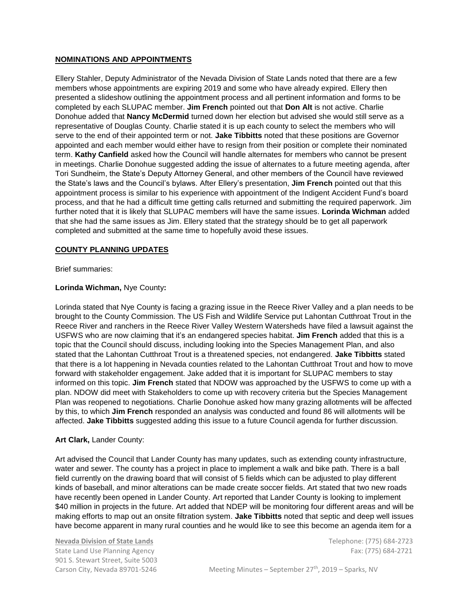## **NOMINATIONS AND APPOINTMENTS**

Ellery Stahler, Deputy Administrator of the Nevada Division of State Lands noted that there are a few members whose appointments are expiring 2019 and some who have already expired. Ellery then presented a slideshow outlining the appointment process and all pertinent information and forms to be completed by each SLUPAC member. **Jim French** pointed out that **Don Alt** is not active. Charlie Donohue added that **Nancy McDermid** turned down her election but advised she would still serve as a representative of Douglas County. Charlie stated it is up each county to select the members who will serve to the end of their appointed term or not. **Jake Tibbitts** noted that these positions are Governor appointed and each member would either have to resign from their position or complete their nominated term. **Kathy Canfield** asked how the Council will handle alternates for members who cannot be present in meetings. Charlie Donohue suggested adding the issue of alternates to a future meeting agenda, after Tori Sundheim, the State's Deputy Attorney General, and other members of the Council have reviewed the State's laws and the Council's bylaws. After Ellery's presentation, **Jim French** pointed out that this appointment process is similar to his experience with appointment of the Indigent Accident Fund's board process, and that he had a difficult time getting calls returned and submitting the required paperwork. Jim further noted that it is likely that SLUPAC members will have the same issues. **Lorinda Wichman** added that she had the same issues as Jim. Ellery stated that the strategy should be to get all paperwork completed and submitted at the same time to hopefully avoid these issues.

#### **COUNTY PLANNING UPDATES**

Brief summaries:

### **Lorinda Wichman,** Nye County**:**

Lorinda stated that Nye County is facing a grazing issue in the Reece River Valley and a plan needs to be brought to the County Commission. The US Fish and Wildlife Service put Lahontan Cutthroat Trout in the Reece River and ranchers in the Reece River Valley Western Watersheds have filed a lawsuit against the USFWS who are now claiming that it's an endangered species habitat. **Jim French** added that this is a topic that the Council should discuss, including looking into the Species Management Plan, and also stated that the Lahontan Cutthroat Trout is a threatened species, not endangered. **Jake Tibbitts** stated that there is a lot happening in Nevada counties related to the Lahontan Cutthroat Trout and how to move forward with stakeholder engagement. Jake added that it is important for SLUPAC members to stay informed on this topic. **Jim French** stated that NDOW was approached by the USFWS to come up with a plan. NDOW did meet with Stakeholders to come up with recovery criteria but the Species Management Plan was reopened to negotiations. Charlie Donohue asked how many grazing allotments will be affected by this, to which **Jim French** responded an analysis was conducted and found 86 will allotments will be affected. **Jake Tibbitts** suggested adding this issue to a future Council agenda for further discussion.

## **Art Clark,** Lander County:

Art advised the Council that Lander County has many updates, such as extending county infrastructure, water and sewer. The county has a project in place to implement a walk and bike path. There is a ball field currently on the drawing board that will consist of 5 fields which can be adjusted to play different kinds of baseball, and minor alterations can be made create soccer fields. Art stated that two new roads have recently been opened in Lander County. Art reported that Lander County is looking to implement \$40 million in projects in the future. Art added that NDEP will be monitoring four different areas and will be making efforts to map out an onsite filtration system. **Jake Tibbitts** noted that septic and deep well issues have become apparent in many rural counties and he would like to see this become an agenda item for a

**Nevada Division of State Lands** Telephone: (775) 684-2723 State Land Use Planning Agency Fax: (775) 684-2721 901 S. Stewart Street, Suite 5003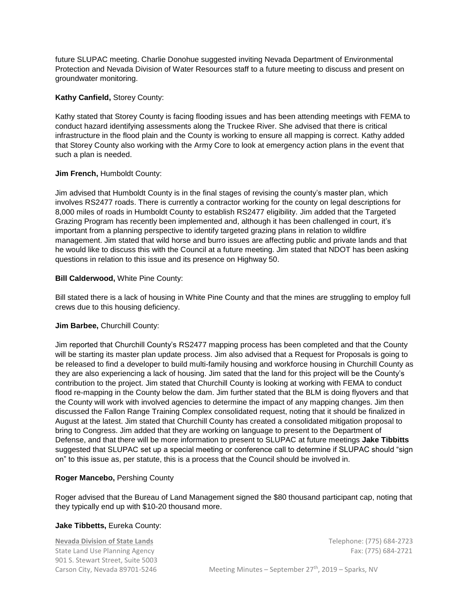future SLUPAC meeting. Charlie Donohue suggested inviting Nevada Department of Environmental Protection and Nevada Division of Water Resources staff to a future meeting to discuss and present on groundwater monitoring.

### **Kathy Canfield,** Storey County:

Kathy stated that Storey County is facing flooding issues and has been attending meetings with FEMA to conduct hazard identifying assessments along the Truckee River. She advised that there is critical infrastructure in the flood plain and the County is working to ensure all mapping is correct. Kathy added that Storey County also working with the Army Core to look at emergency action plans in the event that such a plan is needed.

### **Jim French,** Humboldt County:

Jim advised that Humboldt County is in the final stages of revising the county's master plan, which involves RS2477 roads. There is currently a contractor working for the county on legal descriptions for 8,000 miles of roads in Humboldt County to establish RS2477 eligibility. Jim added that the Targeted Grazing Program has recently been implemented and, although it has been challenged in court, it's important from a planning perspective to identify targeted grazing plans in relation to wildfire management. Jim stated that wild horse and burro issues are affecting public and private lands and that he would like to discuss this with the Council at a future meeting. Jim stated that NDOT has been asking questions in relation to this issue and its presence on Highway 50.

### **Bill Calderwood,** White Pine County:

Bill stated there is a lack of housing in White Pine County and that the mines are struggling to employ full crews due to this housing deficiency.

#### **Jim Barbee,** Churchill County:

Jim reported that Churchill County's RS2477 mapping process has been completed and that the County will be starting its master plan update process. Jim also advised that a Request for Proposals is going to be released to find a developer to build multi-family housing and workforce housing in Churchill County as they are also experiencing a lack of housing. Jim sated that the land for this project will be the County's contribution to the project. Jim stated that Churchill County is looking at working with FEMA to conduct flood re-mapping in the County below the dam. Jim further stated that the BLM is doing flyovers and that the County will work with involved agencies to determine the impact of any mapping changes. Jim then discussed the Fallon Range Training Complex consolidated request, noting that it should be finalized in August at the latest. Jim stated that Churchill County has created a consolidated mitigation proposal to bring to Congress. Jim added that they are working on language to present to the Department of Defense, and that there will be more information to present to SLUPAC at future meetings **Jake Tibbitts** suggested that SLUPAC set up a special meeting or conference call to determine if SLUPAC should "sign on" to this issue as, per statute, this is a process that the Council should be involved in.

## **Roger Mancebo,** Pershing County

Roger advised that the Bureau of Land Management signed the \$80 thousand participant cap, noting that they typically end up with \$10-20 thousand more.

#### **Jake Tibbetts,** Eureka County:

**Nevada Division of State Lands** Telephone: (775) 684-2723 State Land Use Planning Agency Fax: (775) 684-2721 901 S. Stewart Street, Suite 5003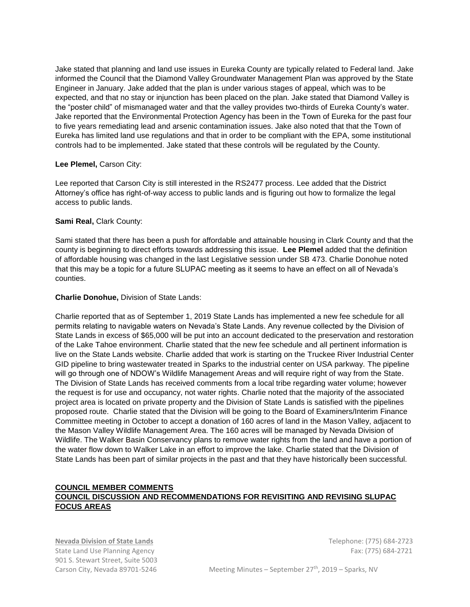Jake stated that planning and land use issues in Eureka County are typically related to Federal land. Jake informed the Council that the Diamond Valley Groundwater Management Plan was approved by the State Engineer in January. Jake added that the plan is under various stages of appeal, which was to be expected, and that no stay or injunction has been placed on the plan. Jake stated that Diamond Valley is the "poster child" of mismanaged water and that the valley provides two-thirds of Eureka County's water. Jake reported that the Environmental Protection Agency has been in the Town of Eureka for the past four to five years remediating lead and arsenic contamination issues. Jake also noted that that the Town of Eureka has limited land use regulations and that in order to be compliant with the EPA, some institutional controls had to be implemented. Jake stated that these controls will be regulated by the County.

### **Lee Plemel,** Carson City:

Lee reported that Carson City is still interested in the RS2477 process. Lee added that the District Attorney's office has right-of-way access to public lands and is figuring out how to formalize the legal access to public lands.

### **Sami Real,** Clark County:

Sami stated that there has been a push for affordable and attainable housing in Clark County and that the county is beginning to direct efforts towards addressing this issue. **Lee Plemel** added that the definition of affordable housing was changed in the last Legislative session under SB 473. Charlie Donohue noted that this may be a topic for a future SLUPAC meeting as it seems to have an effect on all of Nevada's counties.

### **Charlie Donohue,** Division of State Lands:

Charlie reported that as of September 1, 2019 State Lands has implemented a new fee schedule for all permits relating to navigable waters on Nevada's State Lands. Any revenue collected by the Division of State Lands in excess of \$65,000 will be put into an account dedicated to the preservation and restoration of the Lake Tahoe environment. Charlie stated that the new fee schedule and all pertinent information is live on the State Lands website. Charlie added that work is starting on the Truckee River Industrial Center GID pipeline to bring wastewater treated in Sparks to the industrial center on USA parkway. The pipeline will go through one of NDOW's Wildlife Management Areas and will require right of way from the State. The Division of State Lands has received comments from a local tribe regarding water volume; however the request is for use and occupancy, not water rights. Charlie noted that the majority of the associated project area is located on private property and the Division of State Lands is satisfied with the pipelines proposed route. Charlie stated that the Division will be going to the Board of Examiners/Interim Finance Committee meeting in October to accept a donation of 160 acres of land in the Mason Valley, adjacent to the Mason Valley Wildlife Management Area. The 160 acres will be managed by Nevada Division of Wildlife. The Walker Basin Conservancy plans to remove water rights from the land and have a portion of the water flow down to Walker Lake in an effort to improve the lake. Charlie stated that the Division of State Lands has been part of similar projects in the past and that they have historically been successful.

# **COUNCIL MEMBER COMMENTS COUNCIL DISCUSSION AND RECOMMENDATIONS FOR REVISITING AND REVISING SLUPAC FOCUS AREAS**

**Nevada Division of State Lands** Telephone: (775) 684-2723 State Land Use Planning Agency Fax: (775) 684-2721 901 S. Stewart Street, Suite 5003